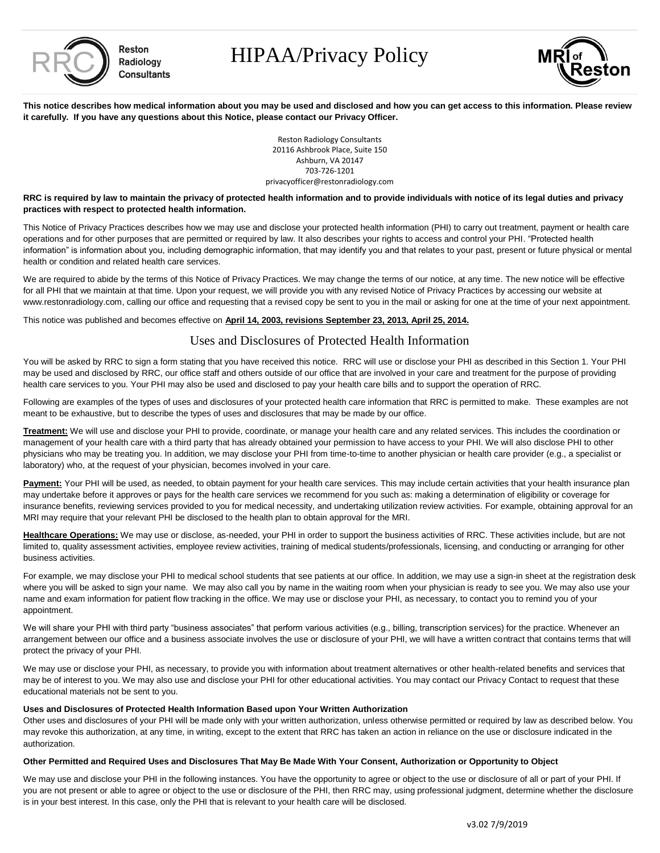

Reston Radiology **Consultants**  HIPAA/Privacy Policy



**This notice describes how medical information about you may be used and disclosed and how you can get access to this information. Please review it carefully. If you have any questions about this Notice, please contact our Privacy Officer.**

> Reston Radiology Consultants 20116 Ashbrook Place, Suite 150 Ashburn, VA 20147 703-726-1201 privacyofficer@restonradiology.com

### **RRC is required by law to maintain the privacy of protected health information and to provide individuals with notice of its legal duties and privacy practices with respect to protected health information.**

This Notice of Privacy Practices describes how we may use and disclose your protected health information (PHI) to carry out treatment, payment or health care operations and for other purposes that are permitted or required by law. It also describes your rights to access and control your PHI. "Protected health information" is information about you, including demographic information, that may identify you and that relates to your past, present or future physical or mental health or condition and related health care services.

We are required to abide by the terms of this Notice of Privacy Practices. We may change the terms of our notice, at any time. The new notice will be effective for all PHI that we maintain at that time. Upon your request, we will provide you with any revised Notice of Privacy Practices by accessing our website at www.restonradiology.com, calling our office and requesting that a revised copy be sent to you in the mail or asking for one at the time of your next appointment.

This notice was published and becomes effective on **April 14, 2003, revisions September 23, 2013, April 25, 2014.**

# Uses and Disclosures of Protected Health Information

You will be asked by RRC to sign a form stating that you have received this notice. RRC will use or disclose your PHI as described in this Section 1. Your PHI may be used and disclosed by RRC, our office staff and others outside of our office that are involved in your care and treatment for the purpose of providing health care services to you. Your PHI may also be used and disclosed to pay your health care bills and to support the operation of RRC.

Following are examples of the types of uses and disclosures of your protected health care information that RRC is permitted to make. These examples are not meant to be exhaustive, but to describe the types of uses and disclosures that may be made by our office.

**Treatment:** We will use and disclose your PHI to provide, coordinate, or manage your health care and any related services. This includes the coordination or management of your health care with a third party that has already obtained your permission to have access to your PHI. We will also disclose PHI to other physicians who may be treating you. In addition, we may disclose your PHI from time-to-time to another physician or health care provider (e.g., a specialist or laboratory) who, at the request of your physician, becomes involved in your care.

Payment: Your PHI will be used, as needed, to obtain payment for your health care services. This may include certain activities that your health insurance plan may undertake before it approves or pays for the health care services we recommend for you such as: making a determination of eligibility or coverage for insurance benefits, reviewing services provided to you for medical necessity, and undertaking utilization review activities. For example, obtaining approval for an MRI may require that your relevant PHI be disclosed to the health plan to obtain approval for the MRI.

Healthcare Operations: We may use or disclose, as-needed, your PHI in order to support the business activities of RRC. These activities include, but are not limited to, quality assessment activities, employee review activities, training of medical students/professionals, licensing, and conducting or arranging for other business activities.

For example, we may disclose your PHI to medical school students that see patients at our office. In addition, we may use a sign-in sheet at the registration desk where you will be asked to sign your name. We may also call you by name in the waiting room when your physician is ready to see you. We may also use your name and exam information for patient flow tracking in the office. We may use or disclose your PHI, as necessary, to contact you to remind you of your appointment.

We will share your PHI with third party "business associates" that perform various activities (e.g., billing, transcription services) for the practice. Whenever an arrangement between our office and a business associate involves the use or disclosure of your PHI, we will have a written contract that contains terms that will protect the privacy of your PHI.

We may use or disclose your PHI, as necessary, to provide you with information about treatment alternatives or other health-related benefits and services that may be of interest to you. We may also use and disclose your PHI for other educational activities. You may contact our Privacy Contact to request that these educational materials not be sent to you.

### **Uses and Disclosures of Protected Health Information Based upon Your Written Authorization**

Other uses and disclosures of your PHI will be made only with your written authorization, unless otherwise permitted or required by law as described below. You may revoke this authorization, at any time, in writing, except to the extent that RRC has taken an action in reliance on the use or disclosure indicated in the authorization.

### **Other Permitted and Required Uses and Disclosures That May Be Made With Your Consent, Authorization or Opportunity to Object**

We may use and disclose your PHI in the following instances. You have the opportunity to agree or object to the use or disclosure of all or part of your PHI. If you are not present or able to agree or object to the use or disclosure of the PHI, then RRC may, using professional judgment, determine whether the disclosure is in your best interest. In this case, only the PHI that is relevant to your health care will be disclosed.